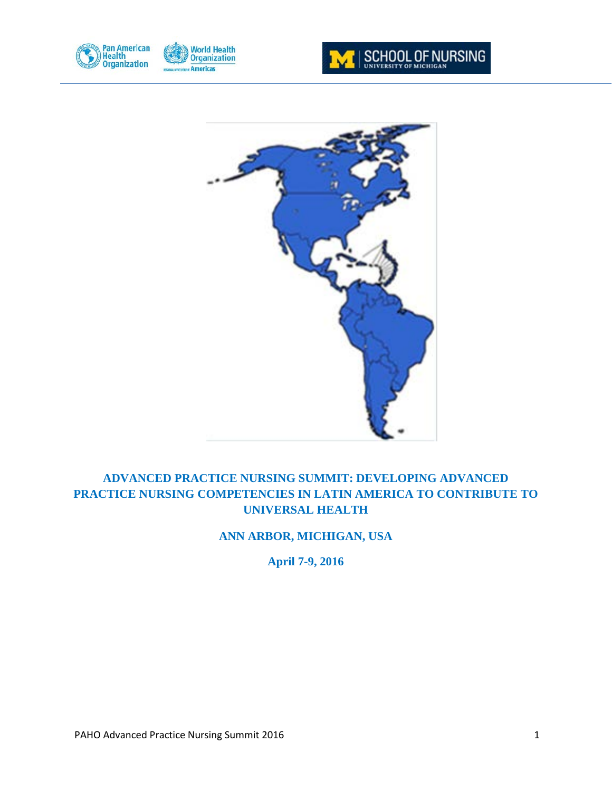

Ī





# **ADVANCED PRACTICE NURSING SUMMIT: DEVELOPING ADVANCED PRACTICE NURSING COMPETENCIES IN LATIN AMERICA TO CONTRIBUTE TO UNIVERSAL HEALTH**

# **ANN ARBOR, MICHIGAN, USA**

**April 7-9, 2016**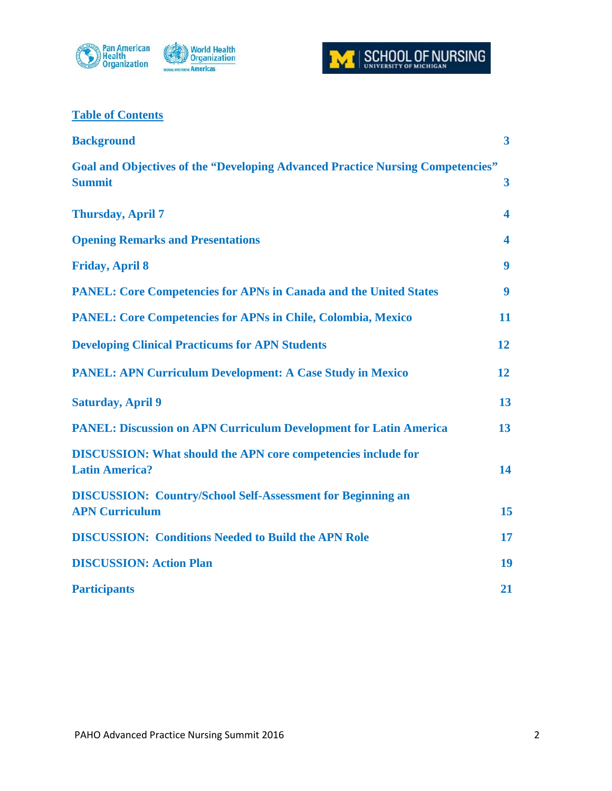



# **Table of Contents**

| <b>Background</b>                                                                                      | 3 <sup>1</sup>          |
|--------------------------------------------------------------------------------------------------------|-------------------------|
| <b>Goal and Objectives of the "Developing Advanced Practice Nursing Competencies"</b><br><b>Summit</b> | $\overline{\mathbf{3}}$ |
| <b>Thursday, April 7</b>                                                                               | $\overline{\mathbf{4}}$ |
| <b>Opening Remarks and Presentations</b>                                                               | $\overline{\mathbf{4}}$ |
| <b>Friday, April 8</b>                                                                                 | 9                       |
| <b>PANEL: Core Competencies for APNs in Canada and the United States</b>                               | $\boldsymbol{9}$        |
| <b>PANEL: Core Competencies for APNs in Chile, Colombia, Mexico</b>                                    | 11                      |
| <b>Developing Clinical Practicums for APN Students</b>                                                 | 12                      |
| <b>PANEL: APN Curriculum Development: A Case Study in Mexico</b>                                       | 12                      |
| <b>Saturday, April 9</b>                                                                               | 13                      |
| <b>PANEL: Discussion on APN Curriculum Development for Latin America</b>                               | 13                      |
| <b>DISCUSSION:</b> What should the APN core competencies include for<br><b>Latin America?</b>          | 14                      |
| <b>DISCUSSION:</b> Country/School Self-Assessment for Beginning an<br><b>APN Curriculum</b>            | 15                      |
| <b>DISCUSSION: Conditions Needed to Build the APN Role</b>                                             | 17                      |
| <b>DISCUSSION: Action Plan</b>                                                                         | 19                      |
| <b>Participants</b>                                                                                    | 21                      |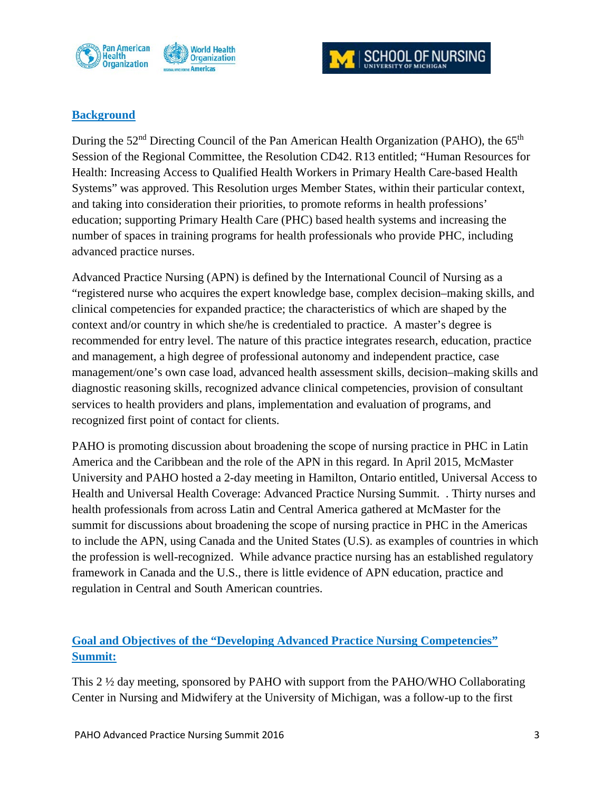



# **Background**

During the 52<sup>nd</sup> Directing Council of the Pan American Health Organization (PAHO), the 65<sup>th</sup> Session of the Regional Committee, the Resolution CD42. R13 entitled; "Human Resources for Health: Increasing Access to Qualified Health Workers in Primary Health Care-based Health Systems" was approved. This Resolution urges Member States, within their particular context, and taking into consideration their priorities, to promote reforms in health professions' education; supporting Primary Health Care (PHC) based health systems and increasing the number of spaces in training programs for health professionals who provide PHC, including advanced practice nurses.

Advanced Practice Nursing (APN) is defined by the International Council of Nursing as a "registered nurse who acquires the expert knowledge base, complex decision–making skills, and clinical competencies for expanded practice; the characteristics of which are shaped by the context and/or country in which she/he is credentialed to practice. A master's degree is recommended for entry level. The nature of this practice integrates research, education, practice and management, a high degree of professional autonomy and independent practice, case management/one's own case load, advanced health assessment skills, decision–making skills and diagnostic reasoning skills, recognized advance clinical competencies, provision of consultant services to health providers and plans, implementation and evaluation of programs, and recognized first point of contact for clients.

PAHO is promoting discussion about broadening the scope of nursing practice in PHC in Latin America and the Caribbean and the role of the APN in this regard. In April 2015, McMaster University and PAHO hosted a 2-day meeting in Hamilton, Ontario entitled, Universal Access to Health and Universal Health Coverage: Advanced Practice Nursing Summit. . Thirty nurses and health professionals from across Latin and Central America gathered at McMaster for the summit for discussions about broadening the scope of nursing practice in PHC in the Americas to include the APN, using Canada and the United States (U.S). as examples of countries in which the profession is well-recognized. While advance practice nursing has an established regulatory framework in Canada and the U.S., there is little evidence of APN education, practice and regulation in Central and South American countries.

# **Goal and Objectives of the "Developing Advanced Practice Nursing Competencies" Summit:**

This 2 ½ day meeting, sponsored by PAHO with support from the PAHO/WHO Collaborating Center in Nursing and Midwifery at the University of Michigan, was a follow-up to the first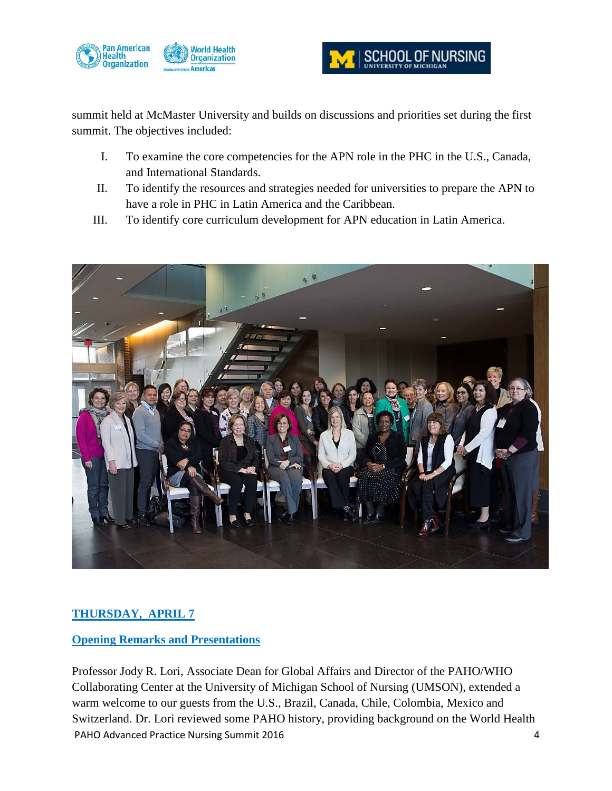



summit held at McMaster University and builds on discussions and priorities set during the first summit. The objectives included:

- I. To examine the core competencies for the APN role in the PHC in the U.S., Canada, and International Standards.
- II. To identify the resources and strategies needed for universities to prepare the APN to have a role in PHC in Latin America and the Caribbean.
- III. To identify core curriculum development for APN education in Latin America.



# **THURSDAY, APRIL 7**

# **Opening Remarks and Presentations**

PAHO Advanced Practice Nursing Summit 2016 4 Professor Jody R. Lori, Associate Dean for Global Affairs and Director of the PAHO/WHO Collaborating Center at the University of Michigan School of Nursing (UMSON), extended a warm welcome to our guests from the U.S., Brazil, Canada, Chile, Colombia, Mexico and Switzerland. Dr. Lori reviewed some PAHO history, providing background on the World Health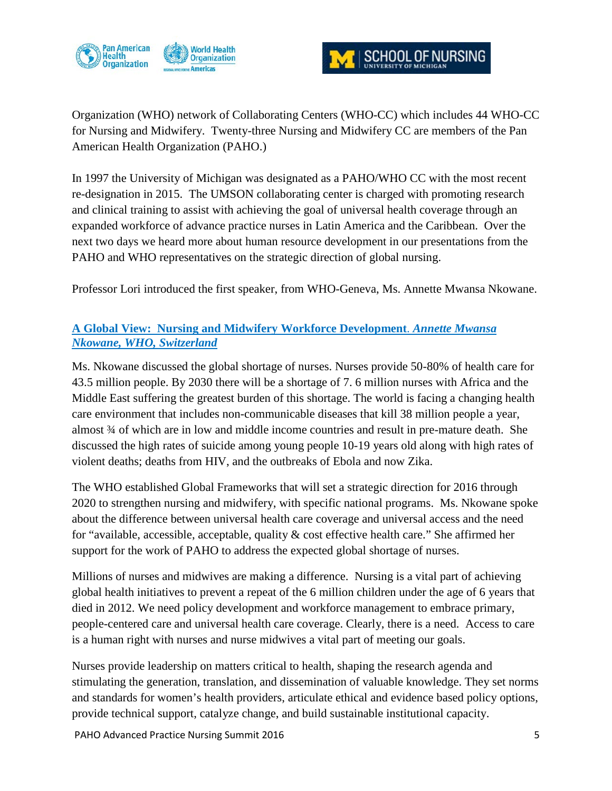



Organization (WHO) network of Collaborating Centers (WHO-CC) which includes 44 WHO-CC for Nursing and Midwifery. Twenty-three Nursing and Midwifery CC are members of the Pan American Health Organization (PAHO.)

In 1997 the University of Michigan was designated as a PAHO/WHO CC with the most recent re-designation in 2015. The UMSON collaborating center is charged with promoting research and clinical training to assist with achieving the goal of universal health coverage through an expanded workforce of advance practice nurses in Latin America and the Caribbean. Over the next two days we heard more about human resource development in our presentations from the PAHO and WHO representatives on the strategic direction of global nursing.

Professor Lori introduced the first speaker, from WHO-Geneva, Ms. Annette Mwansa Nkowane.

# **[A Global View: Nursing and Midwifery Workforce Development](https://umich.box.com/s/halco3u45odxifayf12wbz8rbe9rnk4l)**. *Annette Mwansa [Nkowane, WHO, Switzerland](https://umich.box.com/s/halco3u45odxifayf12wbz8rbe9rnk4l)*

Ms. Nkowane discussed the global shortage of nurses. Nurses provide 50-80% of health care for 43.5 million people. By 2030 there will be a shortage of 7. 6 million nurses with Africa and the Middle East suffering the greatest burden of this shortage. The world is facing a changing health care environment that includes non-communicable diseases that kill 38 million people a year, almost ¾ of which are in low and middle income countries and result in pre-mature death. She discussed the high rates of suicide among young people 10-19 years old along with high rates of violent deaths; deaths from HIV, and the outbreaks of Ebola and now Zika.

The WHO established Global Frameworks that will set a strategic direction for 2016 through 2020 to strengthen nursing and midwifery, with specific national programs. Ms. Nkowane spoke about the difference between universal health care coverage and universal access and the need for "available, accessible, acceptable, quality  $\&$  cost effective health care." She affirmed her support for the work of PAHO to address the expected global shortage of nurses.

Millions of nurses and midwives are making a difference. Nursing is a vital part of achieving global health initiatives to prevent a repeat of the 6 million children under the age of 6 years that died in 2012. We need policy development and workforce management to embrace primary, people-centered care and universal health care coverage. Clearly, there is a need. Access to care is a human right with nurses and nurse midwives a vital part of meeting our goals.

Nurses provide leadership on matters critical to health, shaping the research agenda and stimulating the generation, translation, and dissemination of valuable knowledge. They set norms and standards for women's health providers, articulate ethical and evidence based policy options, provide technical support, catalyze change, and build sustainable institutional capacity.

PAHO Advanced Practice Nursing Summit 2016 5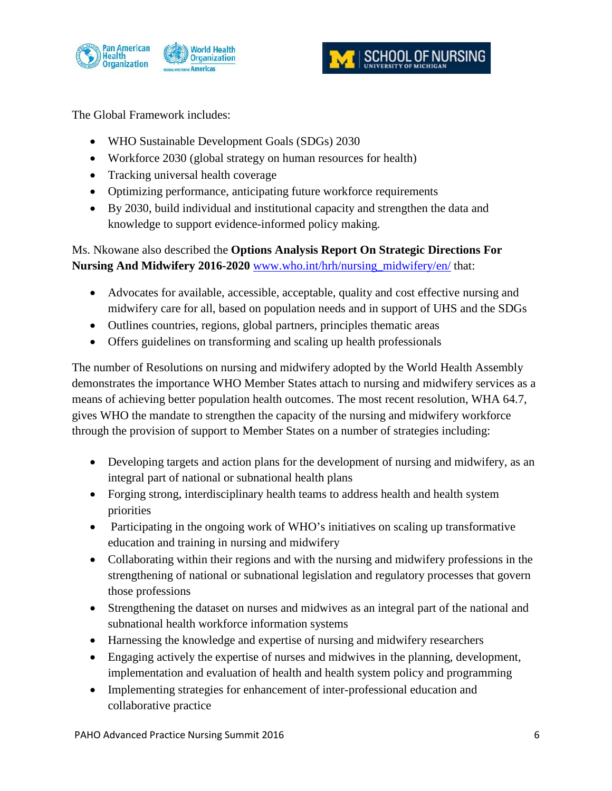



The Global Framework includes:

- WHO Sustainable Development Goals (SDGs) 2030
- Workforce 2030 (global strategy on human resources for health)
- Tracking universal health coverage
- Optimizing performance, anticipating future workforce requirements
- By 2030, build individual and institutional capacity and strengthen the data and knowledge to support evidence-informed policy making.

Ms. Nkowane also described the **Options Analysis Report On Strategic Directions For Nursing And Midwifery 2016-2020** [www.who.int/hrh/nursing\\_midwifery/en/](http://www.who.int/hrh/nursing_midwifery/en/) that:

- Advocates for available, accessible, acceptable, quality and cost effective nursing and midwifery care for all, based on population needs and in support of UHS and the SDGs
- Outlines countries, regions, global partners, principles thematic areas
- Offers guidelines on transforming and scaling up health professionals

The number of Resolutions on nursing and midwifery adopted by the World Health Assembly demonstrates the importance WHO Member States attach to nursing and midwifery services as a means of achieving better population health outcomes. The most recent resolution, WHA 64.7, gives WHO the mandate to strengthen the capacity of the nursing and midwifery workforce through the provision of support to Member States on a number of strategies including:

- Developing targets and action plans for the development of nursing and midwifery, as an integral part of national or subnational health plans
- Forging strong, interdisciplinary health teams to address health and health system priorities
- Participating in the ongoing work of WHO's initiatives on scaling up transformative education and training in nursing and midwifery
- Collaborating within their regions and with the nursing and midwifery professions in the strengthening of national or subnational legislation and regulatory processes that govern those professions
- Strengthening the dataset on nurses and midwives as an integral part of the national and subnational health workforce information systems
- Harnessing the knowledge and expertise of nursing and midwifery researchers
- Engaging actively the expertise of nurses and midwives in the planning, development, implementation and evaluation of health and health system policy and programming
- Implementing strategies for enhancement of inter-professional education and collaborative practice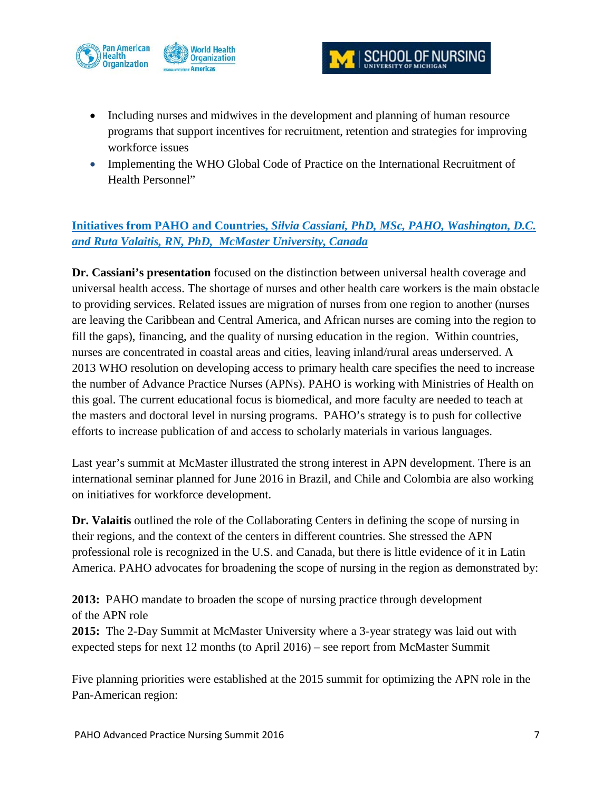



- Including nurses and midwives in the development and planning of human resource programs that support incentives for recruitment, retention and strategies for improving workforce issues
- Implementing the WHO Global Code of Practice on the International Recruitment of Health Personnel"

# **Initiatives from PAHO and Countries,** *[Silvia Cassiani, PhD, MSc, PAHO, Washington, D.C.](https://umich.box.com/s/lluso44l824kqtcojr3tllxsdbt82kxv)  [and Ruta Valaitis, RN, PhD, McMaster University, Canada](https://umich.box.com/s/lluso44l824kqtcojr3tllxsdbt82kxv)*

**Dr. Cassiani's presentation** focused on the distinction between universal health coverage and universal health access. The shortage of nurses and other health care workers is the main obstacle to providing services. Related issues are migration of nurses from one region to another (nurses are leaving the Caribbean and Central America, and African nurses are coming into the region to fill the gaps), financing, and the quality of nursing education in the region. Within countries, nurses are concentrated in coastal areas and cities, leaving inland/rural areas underserved. A 2013 WHO resolution on developing access to primary health care specifies the need to increase the number of Advance Practice Nurses (APNs). PAHO is working with Ministries of Health on this goal. The current educational focus is biomedical, and more faculty are needed to teach at the masters and doctoral level in nursing programs. PAHO's strategy is to push for collective efforts to increase publication of and access to scholarly materials in various languages.

Last year's summit at McMaster illustrated the strong interest in APN development. There is an international seminar planned for June 2016 in Brazil, and Chile and Colombia are also working on initiatives for workforce development.

**Dr. Valaitis** outlined the role of the Collaborating Centers in defining the scope of nursing in their regions, and the context of the centers in different countries. She stressed the APN professional role is recognized in the U.S. and Canada, but there is little evidence of it in Latin America. PAHO advocates for broadening the scope of nursing in the region as demonstrated by:

**2013:** PAHO mandate to broaden the scope of nursing practice through development of the APN role

**2015:** The 2-Day Summit at McMaster University where a 3-year strategy was laid out with expected steps for next 12 months (to April 2016) – see report from McMaster Summit

Five planning priorities were established at the 2015 summit for optimizing the APN role in the Pan-American region: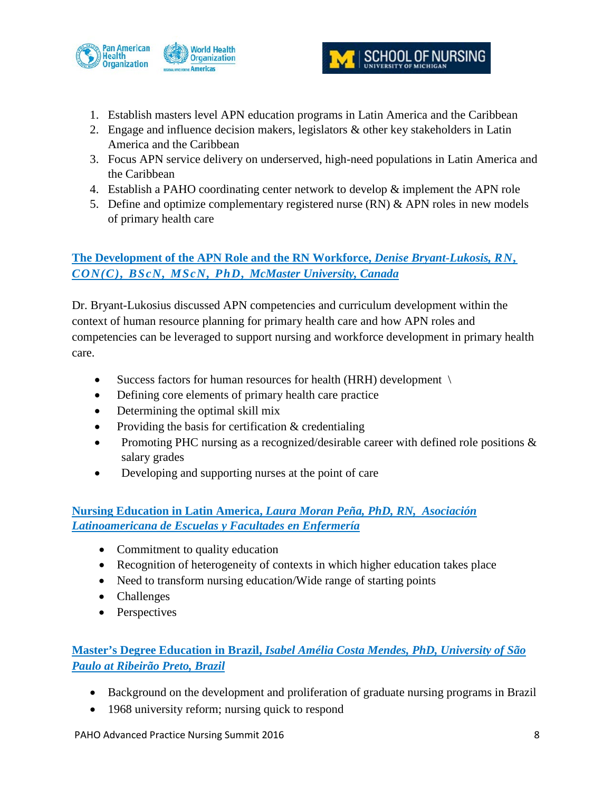



- 1. Establish masters level APN education programs in Latin America and the Caribbean
- 2. Engage and influence decision makers, legislators & other key stakeholders in Latin America and the Caribbean
- 3. Focus APN service delivery on underserved, high-need populations in Latin America and the Caribbean
- 4. Establish a PAHO coordinating center network to develop & implement the APN role
- 5. Define and optimize complementary registered nurse (RN) & APN roles in new models of primary health care

# **[The Development of the APN Role and the RN Workforce,](https://umich.box.com/s/bbxjthylp8mz2p6m3juyls7k3i39r76u)** *Denise Bryant-Lukosis, RN, [CON\(C\), BScN, MScN, PhD, McMaster University, Canada](https://umich.box.com/s/bbxjthylp8mz2p6m3juyls7k3i39r76u)*

Dr. Bryant-Lukosius discussed APN competencies and curriculum development within the context of human resource planning for primary health care and how APN roles and competencies can be leveraged to support nursing and workforce development in primary health care.

- Success factors for human resources for health (HRH) development \
- Defining core elements of primary health care practice
- Determining the optimal skill mix
- Providing the basis for certification  $&$  credentialing
- Promoting PHC nursing as a recognized/desirable career with defined role positions & salary grades
- Developing and supporting nurses at the point of care

# **Nursing Education in Latin America,** *[Laura Moran Peña, PhD, RN, Asociación](https://umich.box.com/s/8ljwxmj10mu1og8mb40egtgewif2xnew)  [Latinoamericana de Escuelas y Facultades en Enfermería](https://umich.box.com/s/8ljwxmj10mu1og8mb40egtgewif2xnew)*

- Commitment to quality education
- Recognition of heterogeneity of contexts in which higher education takes place
- Need to transform nursing education/Wide range of starting points
- Challenges
- Perspectives

# **Master's Degree Education in Brazil,** *[Isabel Amélia Costa Mendes, PhD, University of São](https://umich.box.com/s/ubxigdcok2e4asldk86a9le7qzes2q25)  Paulo [at Ribeirão Preto, Brazil](https://umich.box.com/s/ubxigdcok2e4asldk86a9le7qzes2q25)*

- Background on the development and proliferation of graduate nursing programs in Brazil
- 1968 university reform; nursing quick to respond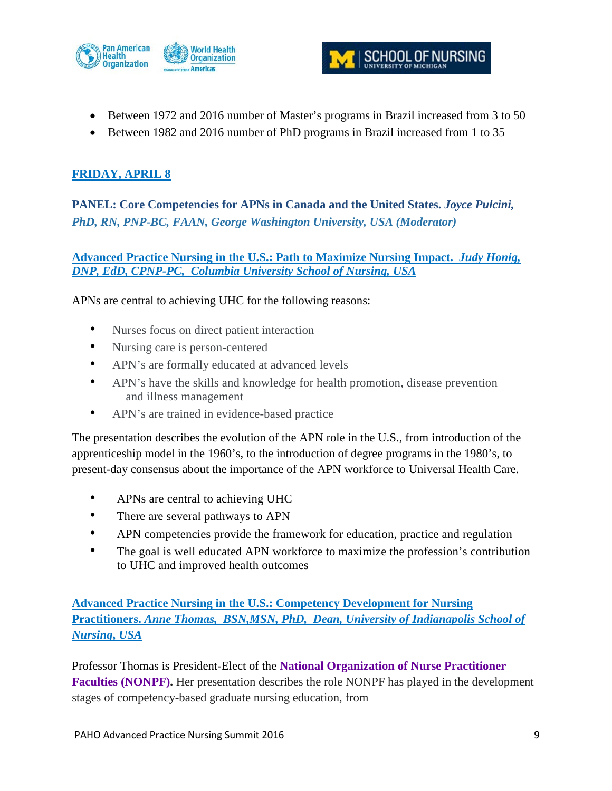



- Between 1972 and 2016 number of Master's programs in Brazil increased from 3 to 50
- Between 1982 and 2016 number of PhD programs in Brazil increased from 1 to 35

# **FRIDAY, APRIL 8**

**PANEL: Core Competencies for APNs in Canada and the United States.** *Joyce Pulcini, PhD, RN, PNP-BC, FAAN, George Washington University, USA (Moderator)*

**[Advanced Practice Nursing in the U.S.: Path to Maximize Nursing Impact.](https://umich.box.com/s/w2ysc478kfc0ddix8djqgxolk1ts93os)** *Judy Honig, DNP, EdD, CPNP-PC, Columbia [University School of Nursing, USA](https://umich.box.com/s/w2ysc478kfc0ddix8djqgxolk1ts93os)*

APNs are central to achieving UHC for the following reasons:

- Nurses focus on direct patient interaction
- Nursing care is person-centered
- APN's are formally educated at advanced levels
- APN's have the skills and knowledge for health promotion, disease prevention and illness management
- APN's are trained in evidence-based practice

The presentation describes the evolution of the APN role in the U.S., from introduction of the apprenticeship model in the 1960's, to the introduction of degree programs in the 1980's, to present-day consensus about the importance of the APN workforce to Universal Health Care.

- APNs are central to achieving UHC
- There are several pathways to APN
- APN competencies provide the framework for education, practice and regulation
- The goal is well educated APN workforce to maximize the profession's contribution to UHC and improved health outcomes

**[Advanced Practice Nursing in the U.S.: Competency Development for Nursing](https://umich.box.com/s/rreeg1sjvt0g1klil1k709wwwuwjg0y9)  Practitioners.** *Anne Thomas, BSN,MSN, PhD, [Dean, University of Indianapolis School of](https://umich.box.com/s/rreeg1sjvt0g1klil1k709wwwuwjg0y9)  [Nursing](https://umich.box.com/s/rreeg1sjvt0g1klil1k709wwwuwjg0y9)***,** *USA*

Professor Thomas is President-Elect of the **[National Organization of Nurse Practitioner](http://www.nonpf.org/)  [Faculties \(NONPF\).](http://www.nonpf.org/)** Her presentation describes the role NONPF has played in the development stages of competency-based graduate nursing education, from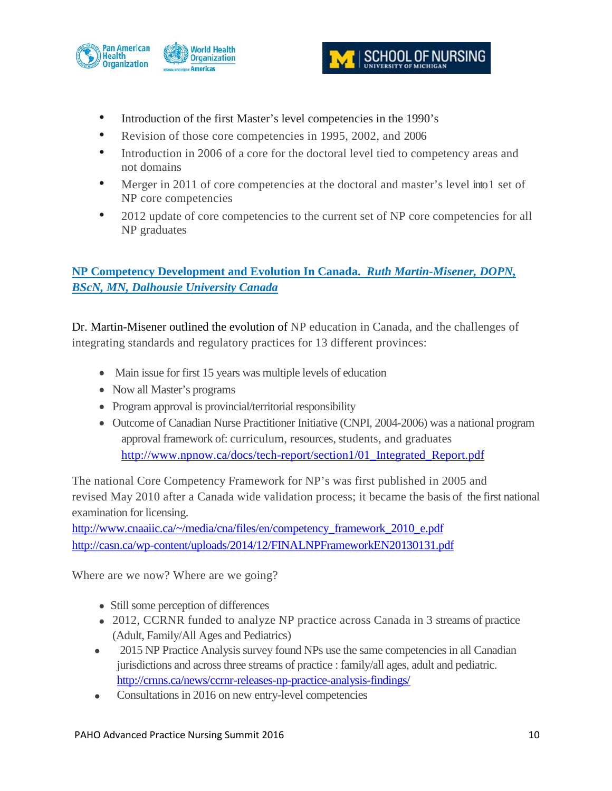



- Introduction of the first Master's level competencies in the 1990's
- Revision of those core competencies in 1995, 2002, and 2006
- Introduction in 2006 of a core for the doctoral level tied to competency areas and not domains
- Merger in 2011 of core competencies at the doctoral and master's level into 1 set of NP core competencies
- 2012 update of core competencies to the current set of NP core competencies for all NP graduates

# **[NP Competency Development and Evolution In Canada.](https://umich.box.com/s/bgxb1veecqo1echc1gaejuv3j40sp423)** *Ruth Martin-Misener, DOPN, [BScN, MN, Dalhousie University Canada](https://umich.box.com/s/bgxb1veecqo1echc1gaejuv3j40sp423)*

Dr. Martin-Misener outlined the evolution of NP education in Canada, and the challenges of integrating standards and regulatory practices for 13 different provinces:

- Main issue for first 15 years was multiple levels of education
- Now all Master's programs
- Program approval is provincial/territorial responsibility
- Outcome of Canadian Nurse Practitioner Initiative (CNPI, 2004-2006) was a national program approval framework of: curriculum, resources, students, and graduates [http://www.npnow.ca/docs/tech-report/section1/01\\_Integrated\\_Report.pdf](http://www.npnow.ca/docs/tech-report/section1/01_Integrated_Report.pdf)

The national Core Competency Framework for NP's was first published in 2005 and revised May 2010 after a Canada wide validation process; it became the basis of the first national examination for licensing.

[http://www.cnaaiic.ca/~/media/cna/files/en/competency\\_framework\\_2010\\_e.pdf](http://www.cnaaiic.ca/%7E/media/cna/files/en/competency_framework_2010_e.pdf) <http://casn.ca/wp-content/uploads/2014/12/FINALNPFrameworkEN20130131.pdf>

Where are we now? Where are we going?

- Still some perception of differences
- 2012, CCRNR funded to analyze NP practice across Canada in 3 streams of practice (Adult, Family/All Ages and Pediatrics)
- 2015 NP Practice Analysis survey found NPs use the same competencies in all Canadian jurisdictions and acrossthree streams of practice : family/all ages, adult and pediatric. <http://crnns.ca/news/ccrnr-releases-np-practice-analysis-findings/>
- Consultations in 2016 on new entry-level competencies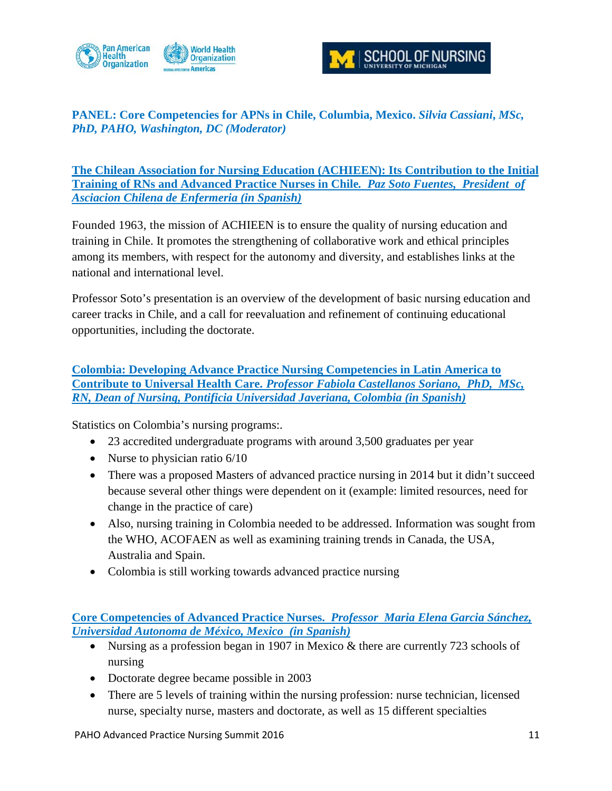



# **PANEL: Core Competencies for APNs in Chile, Columbia, Mexico.** *Silvia Cassiani***,** *MSc, PhD, PAHO, Washington, DC (Moderator)*

**[The Chilean Association for Nursing Education \(ACHIEEN\):](https://umich.app.box.com/files/0/f/7320191945/1/f_60455190921) Its Contribution to the Initial Training of RNs and Advanced Practice Nurses in Chile***. Paz Soto Fuentes, President of Asciacion Chilena de Enfermeria (in Spanish)*

Founded 1963, the mission of ACHIEEN is to ensure the quality of nursing education and training in Chile. It promotes the strengthening of collaborative work and ethical principles among its members, with respect for the autonomy and diversity, and establishes links at the national and international level.

Professor Soto's presentation is an overview of the development of basic nursing education and career tracks in Chile, and a call for reevaluation and refinement of continuing educational opportunities, including the doctorate.

## **[Colombia: Developing Advance Practice Nursing Competencies in Latin America to](https://umich.app.box.com/files/0/f/7320191945/1/f_60455211905)  Contribute to Universal Health Care.** *[Professor Fabiola Castellanos Soriano, PhD, MSc,](https://umich.app.box.com/files/0/f/7320191945/1/f_60455211905)  RN, Dean of Nursing, [Pontificia Universidad Javeriana, Colombia](https://umich.app.box.com/files/0/f/7320191945/1/f_60455211905) (in Spanish)*

Statistics on Colombia's nursing programs:.

- 23 accredited undergraduate programs with around 3,500 graduates per year
- Nurse to physician ratio 6/10
- There was a proposed Masters of advanced practice nursing in 2014 but it didn't succeed because several other things were dependent on it (example: limited resources, need for change in the practice of care)
- Also, nursing training in Colombia needed to be addressed. Information was sought from the WHO, ACOFAEN as well as examining training trends in Canada, the USA, Australia and Spain.
- Colombia is still working towards advanced practice nursing

**[Core Competencies of Advanced Practice Nurses.](https://umich.app.box.com/files/0/f/7320191945/1/f_60455198789)** *Professor Maria Elena Garcia Sánchez, [Universidad Autonoma de México,](https://umich.app.box.com/files/0/f/7320191945/1/f_60455198789) Mexico (in Spanish)*

- Nursing as a profession began in 1907 in Mexico & there are currently 723 schools of nursing
- Doctorate degree became possible in 2003
- There are 5 levels of training within the nursing profession: nurse technician, licensed nurse, specialty nurse, masters and doctorate, as well as 15 different specialties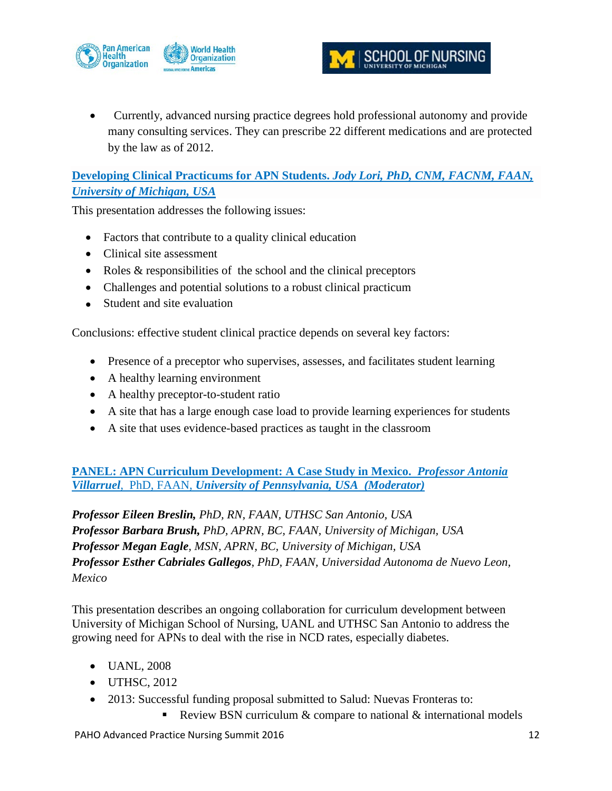



• Currently, advanced nursing practice degrees hold professional autonomy and provide many consulting services. They can prescribe 22 different medications and are protected by the law as of 2012.

# **[Developing Clinical Practicums for APN Students.](https://umich.app.box.com/files/0/f/7320191945/1/f_60455195693)** *Jody Lori, PhD, CNM, FACNM, FAAN, [University of Michigan, USA](https://umich.app.box.com/files/0/f/7320191945/1/f_60455195693)*

This presentation addresses the following issues:

- Factors that contribute to a quality clinical education
- Clinical site assessment
- Roles & responsibilities of the school and the clinical preceptors
- Challenges and potential solutions to a robust clinical practicum
- Student and site evaluation

Conclusions: effective student clinical practice depends on several key factors:

- Presence of a preceptor who supervises, assesses, and facilitates student learning
- A healthy learning environment
- A healthy preceptor-to-student ratio
- A site that has a large enough case load to provide learning experiences for students
- A site that uses evidence-based practices as taught in the classroom

**[PANEL: APN Curriculum Development: A Case Study in Mexico.](https://umich.app.box.com/files/0/f/7320191945/1/f_60455203417)** *Professor Antonia Villarruel*, PhD, FAAN, *[University of Pennsylvania, USA](https://umich.app.box.com/files/0/f/7320191945/1/f_60455203417) (Moderator)*

*Professor Eileen Breslin, PhD, RN, FAAN, UTHSC San Antonio, USA Professor Barbara Brush, PhD, APRN, BC, FAAN, University of Michigan, USA Professor Megan Eagle, MSN, APRN, BC, University of Michigan, USA Professor Esther Cabriales Gallegos, PhD, FAAN, Universidad Autonoma de Nuevo Leon, Mexico*

This presentation describes an ongoing collaboration for curriculum development between University of Michigan School of Nursing, UANL and UTHSC San Antonio to address the growing need for APNs to deal with the rise in NCD rates, especially diabetes.

- UANL, 2008
- UTHSC, 2012
- 2013: Successful funding proposal submitted to Salud: Nuevas Fronteras to:
	- Review BSN curriculum  $\&$  compare to national  $\&$  international models

PAHO Advanced Practice Nursing Summit 2016 12 and 12 and 12 and 12 and 12 and 12 and 12 and 12 and 12 and 12 and 12 and 12 and 12 and 12 and 12 and 12 and 12 and 12 and 12 and 12 and 12 and 12 and 12 and 12 and 12 and 12 a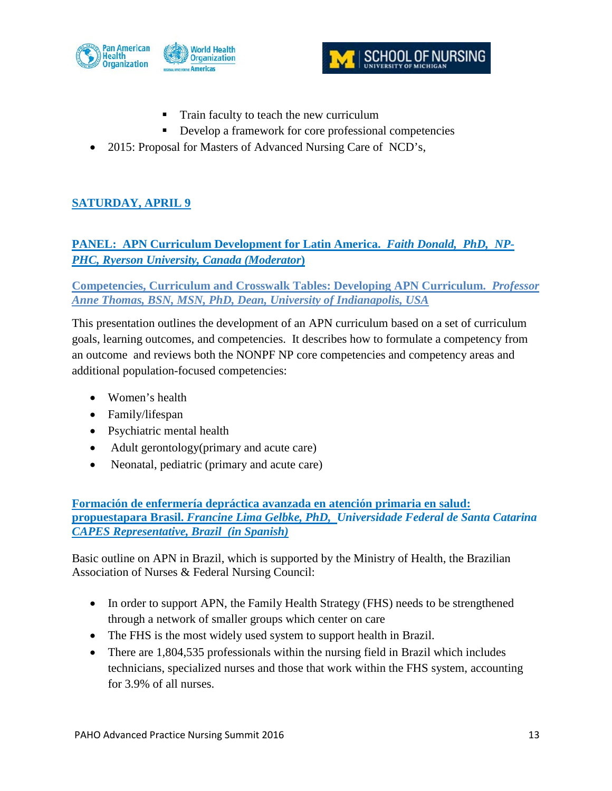



- Train faculty to teach the new curriculum
- Develop a framework for core professional competencies
- 2015: Proposal for Masters of Advanced Nursing Care of NCD's,

# **SATURDAY, APRIL 9**

**[PANEL: APN Curriculum Development for Latin America.](https://umich.app.box.com/files/0/f/7320060545/1/f_60182025345)** *Faith Donald, PhD, NP-[PHC, Ryerson University,](https://umich.app.box.com/files/0/f/7320060545/1/f_60182025345) Canada (Moderator***)**

**[Competencies, Curriculum and Crosswalk Tables: Developing APN Curriculum.](https://umich.app.box.com/files/0/f/7320060545/1/f_60970470553)** *Professor [Anne Thomas, BSN, MSN, PhD, Dean, University of Indianapolis, USA](https://umich.app.box.com/files/0/f/7320060545/1/f_60970470553)*

This presentation outlines the development of an APN curriculum based on a set of curriculum goals, learning outcomes, and competencies. It describes how to formulate a competency from an outcome and reviews both the NONPF NP core competencies and competency areas and additional population-focused competencies:

- Women's health
- Family/lifespan
- Psychiatric mental health
- Adult gerontology(primary and acute care)
- Neonatal, pediatric (primary and acute care)

**[Formación de enfermería depráctica avanzada](https://umich.app.box.com/files/0/f/7320060545/1/f_60284156973) en atención primaria en salud: propuestapara Brasil.** *Francine Lima [Gelbke, PhD, Universidade Federal de Santa Catarina](https://umich.app.box.com/files/0/f/7320060545/1/f_60284156973)  [CAPES Representative, Brazil](https://umich.app.box.com/files/0/f/7320060545/1/f_60284156973) (in Spanish)*

Basic outline on APN in Brazil, which is supported by the Ministry of Health, the Brazilian Association of Nurses & Federal Nursing Council:

- In order to support APN, the Family Health Strategy (FHS) needs to be strengthened through a network of smaller groups which center on care
- The FHS is the most widely used system to support health in Brazil.
- There are 1,804,535 professionals within the nursing field in Brazil which includes technicians, specialized nurses and those that work within the FHS system, accounting for 3.9% of all nurses.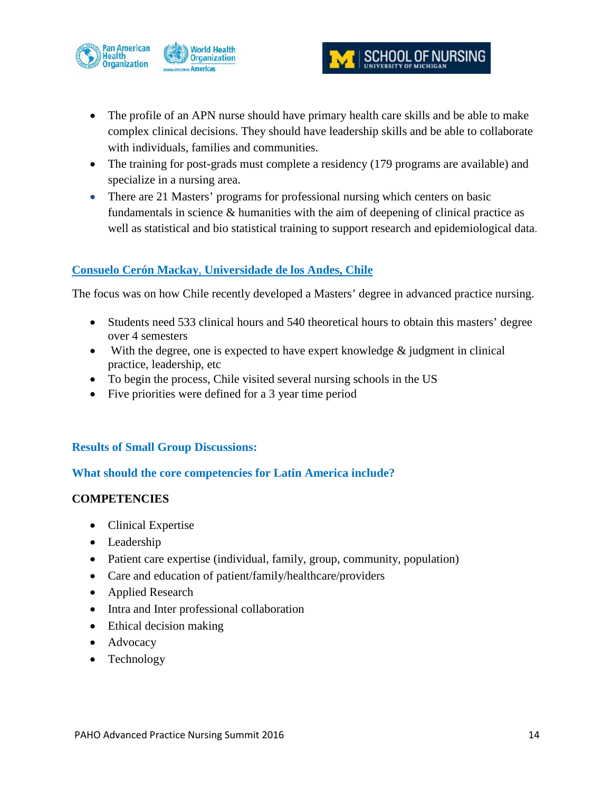



- The profile of an APN nurse should have primary health care skills and be able to make complex clinical decisions. They should have leadership skills and be able to collaborate with individuals, families and communities.
- The training for post-grads must complete a residency (179 programs are available) and specialize in a nursing area.
- There are 21 Masters' programs for professional nursing which centers on basic fundamentals in science & humanities with the aim of deepening of clinical practice as well as statistical and bio statistical training to support research and epidemiological data.

## **[Consuelo Cerón](https://umich.app.box.com/files/0/f/7320060545/1/f_60463641633) Mackay**, **Universidade de los Andes, Chile**

The focus was on how Chile recently developed a Masters' degree in advanced practice nursing.

- Students need 533 clinical hours and 540 theoretical hours to obtain this masters' degree over 4 semesters
- With the degree, one is expected to have expert knowledge  $\&$  judgment in clinical practice, leadership, etc
- To begin the process, Chile visited several nursing schools in the US
- Five priorities were defined for a 3 year time period

## **Results of Small Group Discussions:**

### **What should the core competencies for Latin America include?**

### **COMPETENCIES**

- Clinical Expertise
- Leadership
- Patient care expertise (individual, family, group, community, population)
- Care and education of patient/family/healthcare/providers
- Applied Research
- Intra and Inter professional collaboration
- Ethical decision making
- Advocacy
- Technology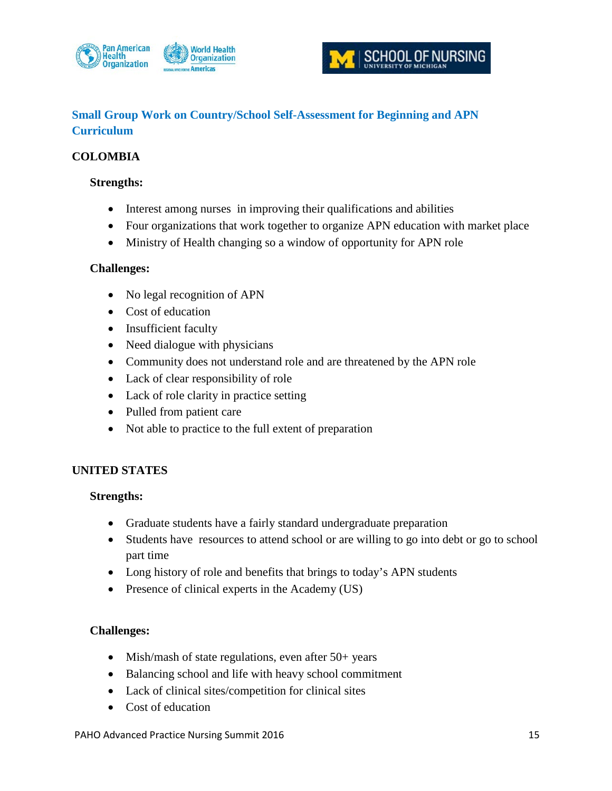



# **Small Group Work on Country/School Self-Assessment for Beginning and APN Curriculum**

## **COLOMBIA**

### **Strengths:**

- Interest among nurses in improving their qualifications and abilities
- Four organizations that work together to organize APN education with market place
- Ministry of Health changing so a window of opportunity for APN role

### **Challenges:**

- No legal recognition of APN
- Cost of education
- Insufficient faculty
- Need dialogue with physicians
- Community does not understand role and are threatened by the APN role
- Lack of clear responsibility of role
- Lack of role clarity in practice setting
- Pulled from patient care
- Not able to practice to the full extent of preparation

### **UNITED STATES**

### **Strengths:**

- Graduate students have a fairly standard undergraduate preparation
- Students have resources to attend school or are willing to go into debt or go to school part time
- Long history of role and benefits that brings to today's APN students
- Presence of clinical experts in the Academy (US)

### **Challenges:**

- Mish/mash of state regulations, even after 50+ years
- Balancing school and life with heavy school commitment
- Lack of clinical sites/competition for clinical sites
- Cost of education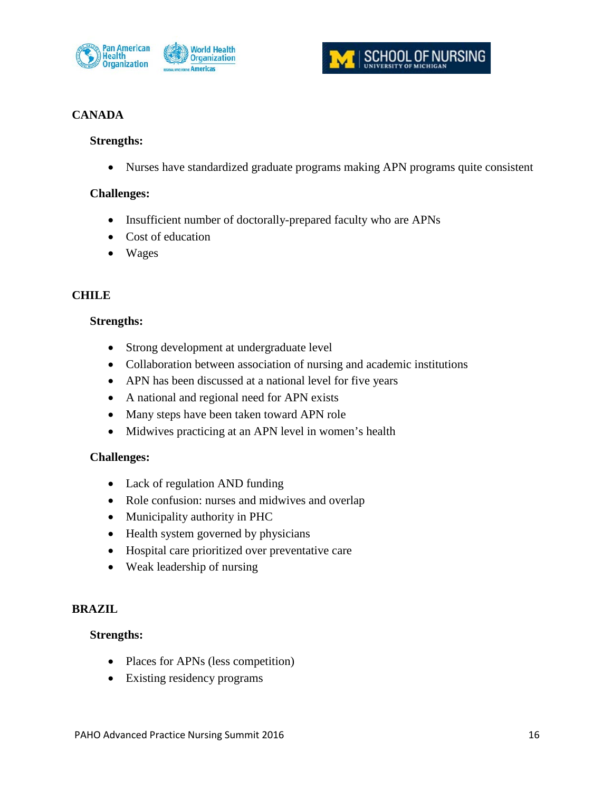



# **CANADA**

### **Strengths:**

• Nurses have standardized graduate programs making APN programs quite consistent

#### **Challenges:**

- Insufficient number of doctorally-prepared faculty who are APNs
- Cost of education
- Wages

## **CHILE**

### **Strengths:**

- Strong development at undergraduate level
- Collaboration between association of nursing and academic institutions
- APN has been discussed at a national level for five years
- A national and regional need for APN exists
- Many steps have been taken toward APN role
- Midwives practicing at an APN level in women's health

### **Challenges:**

- Lack of regulation AND funding
- Role confusion: nurses and midwives and overlap
- Municipality authority in PHC
- Health system governed by physicians
- Hospital care prioritized over preventative care
- Weak leadership of nursing

#### **BRAZIL**

### **Strengths:**

- Places for APNs (less competition)
- Existing residency programs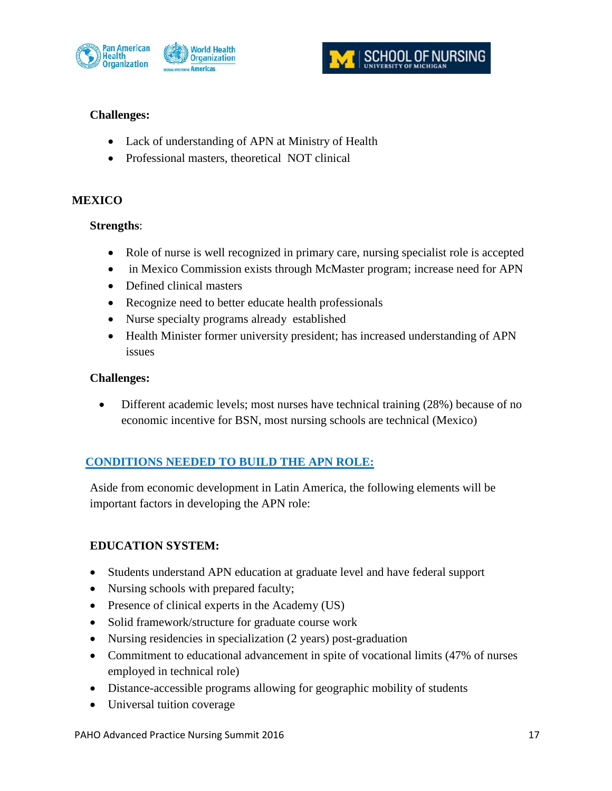



# **Challenges:**

- Lack of understanding of APN at Ministry of Health
- Professional masters, theoretical NOT clinical

## **MEXICO**

## **Strengths**:

- Role of nurse is well recognized in primary care, nursing specialist role is accepted
- in Mexico Commission exists through McMaster program; increase need for APN
- Defined clinical masters
- Recognize need to better educate health professionals
- Nurse specialty programs already established
- Health Minister former university president; has increased understanding of APN issues

## **Challenges:**

• Different academic levels; most nurses have technical training (28%) because of no economic incentive for BSN, most nursing schools are technical (Mexico)

# **CONDITIONS NEEDED TO BUILD THE APN ROLE:**

Aside from economic development in Latin America, the following elements will be important factors in developing the APN role:

## **EDUCATION SYSTEM:**

- Students understand APN education at graduate level and have federal support
- Nursing schools with prepared faculty;
- Presence of clinical experts in the Academy (US)
- Solid framework/structure for graduate course work
- Nursing residencies in specialization (2 years) post-graduation
- Commitment to educational advancement in spite of vocational limits (47% of nurses employed in technical role)
- Distance-accessible programs allowing for geographic mobility of students
- Universal tuition coverage

PAHO Advanced Practice Nursing Summit 2016 17 17 17 17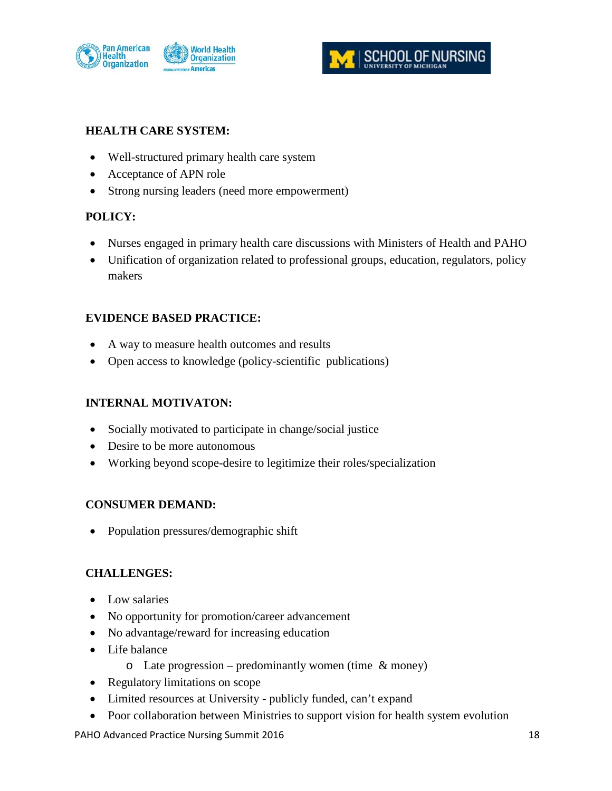



# **HEALTH CARE SYSTEM:**

- Well-structured primary health care system
- Acceptance of APN role
- Strong nursing leaders (need more empowerment)

# **POLICY:**

- Nurses engaged in primary health care discussions with Ministers of Health and PAHO
- Unification of organization related to professional groups, education, regulators, policy makers

# **EVIDENCE BASED PRACTICE:**

- A way to measure health outcomes and results
- Open access to knowledge (policy-scientific publications)

## **INTERNAL MOTIVATON:**

- Socially motivated to participate in change/social justice
- Desire to be more autonomous
- Working beyond scope-desire to legitimize their roles/specialization

### **CONSUMER DEMAND:**

• Population pressures/demographic shift

## **CHALLENGES:**

- Low salaries
- No opportunity for promotion/career advancement
- No advantage/reward for increasing education
- Life balance
	- $\circ$  Late progression predominantly women (time & money)
- Regulatory limitations on scope
- Limited resources at University publicly funded, can't expand
- Poor collaboration between Ministries to support vision for health system evolution

PAHO Advanced Practice Nursing Summit 2016 18 and 18 and 18 and 18 and 18 and 18 and 18 and 18 and 18 and 18 and 18 and 18 and 18 and 18 and 18 and 18 and 18 and 18 and 18 and 18 and 18 and 18 and 18 and 18 and 18 and 18 a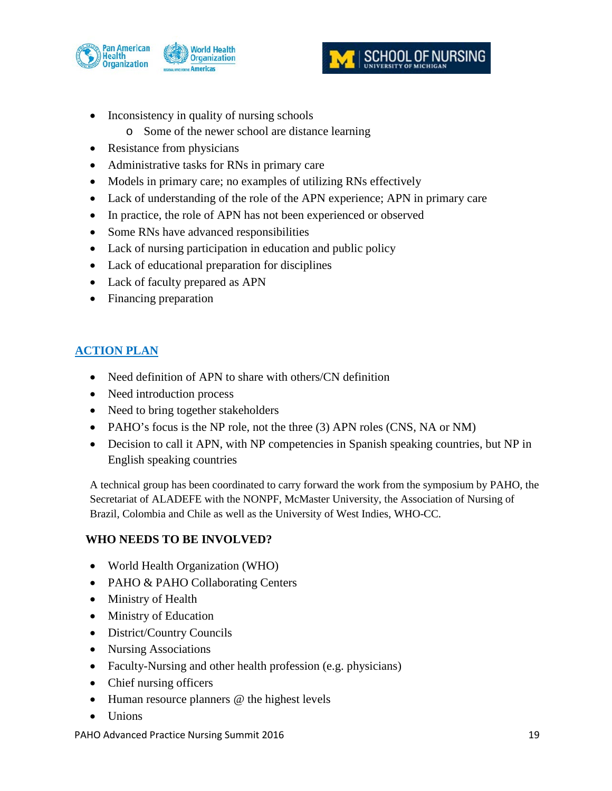



- Inconsistency in quality of nursing schools
	- o Some of the newer school are distance learning
- Resistance from physicians
- Administrative tasks for RNs in primary care
- Models in primary care; no examples of utilizing RNs effectively
- Lack of understanding of the role of the APN experience; APN in primary care
- In practice, the role of APN has not been experienced or observed
- Some RNs have advanced responsibilities
- Lack of nursing participation in education and public policy
- Lack of educational preparation for disciplines
- Lack of faculty prepared as APN
- Financing preparation

# **ACTION PLAN**

- Need definition of APN to share with others/CN definition
- Need introduction process
- Need to bring together stakeholders
- PAHO's focus is the NP role, not the three (3) APN roles (CNS, NA or NM)
- Decision to call it APN, with NP competencies in Spanish speaking countries, but NP in English speaking countries

A technical group has been coordinated to carry forward the work from the symposium by PAHO, the Secretariat of ALADEFE with the NONPF, McMaster University, the Association of Nursing of Brazil, Colombia and Chile as well as the University of West Indies, WHO-CC.

## **WHO NEEDS TO BE INVOLVED?**

- World Health Organization (WHO)
- PAHO & PAHO Collaborating Centers
- Ministry of Health
- Ministry of Education
- District/Country Councils
- Nursing Associations
- Faculty-Nursing and other health profession (e.g. physicians)
- Chief nursing officers
- Human resource planners @ the highest levels
- Unions

PAHO Advanced Practice Nursing Summit 2016 19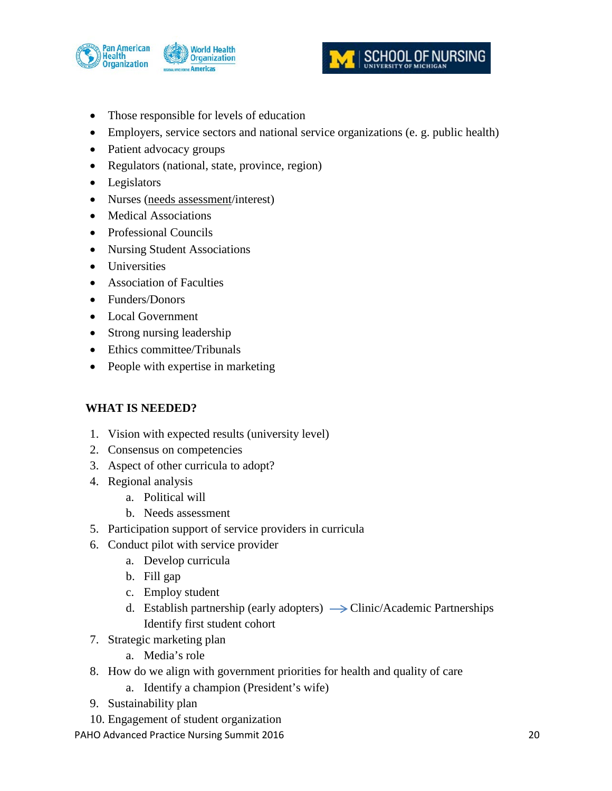



- Those responsible for levels of education
- Employers, service sectors and national service organizations (e. g. public health)
- Patient advocacy groups
- Regulators (national, state, province, region)
- Legislators
- Nurses (needs assessment/interest)
- Medical Associations
- Professional Councils
- Nursing Student Associations
- Universities
- Association of Faculties
- Funders/Donors
- Local Government
- Strong nursing leadership
- Ethics committee/Tribunals
- People with expertise in marketing

### **WHAT IS NEEDED?**

- 1. Vision with expected results (university level)
- 2. Consensus on competencies
- 3. Aspect of other curricula to adopt?
- 4. Regional analysis
	- a. Political will
	- b. Needs assessment
- 5. Participation support of service providers in curricula
- 6. Conduct pilot with service provider
	- a. Develop curricula
	- b. Fill gap
	- c. Employ student
	- d. Establish partnership (early adopters)  $\rightarrow$  Clinic/Academic Partnerships Identify first student cohort
- 7. Strategic marketing plan
	- a. Media's role
- 8. How do we align with government priorities for health and quality of care
	- a. Identify a champion (President's wife)
- 9. Sustainability plan
- 10. Engagement of student organization

PAHO Advanced Practice Nursing Summit 2016 20 20 20 20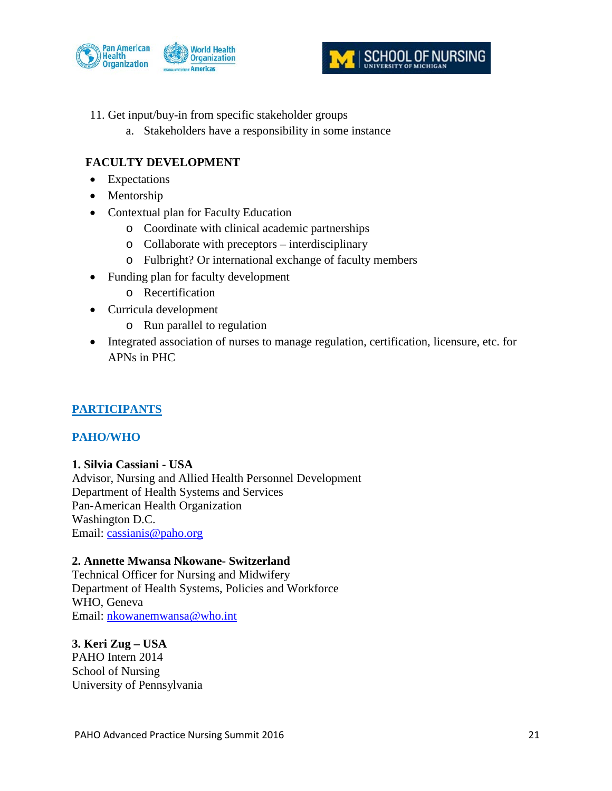



- 11. Get input/buy-in from specific stakeholder groups
	- a. Stakeholders have a responsibility in some instance

# **FACULTY DEVELOPMENT**

- Expectations
- Mentorship
- Contextual plan for Faculty Education
	- o Coordinate with clinical academic partnerships
	- o Collaborate with preceptors interdisciplinary
	- o Fulbright? Or international exchange of faculty members
- Funding plan for faculty development
	- o Recertification
- Curricula development
	- o Run parallel to regulation
- Integrated association of nurses to manage regulation, certification, licensure, etc. for APNs in PHC

## **PARTICIPANTS**

## **PAHO/WHO**

### **1. Silvia Cassiani - USA**

Advisor, Nursing and Allied Health Personnel Development Department of Health Systems and Services Pan-American Health Organization Washington D.C. Email: [cassianis@paho.org](mailto:cassianis@paho.org)

### **2. Annette Mwansa Nkowane- Switzerland**

Technical Officer for Nursing and Midwifery Department of Health Systems, Policies and Workforce WHO, Geneva Email: [nkowanemwansa@who.int](mailto:nkowanemwansa@who.int)

## **3. Keri Zug – USA**

PAHO Intern 2014 School of Nursing University of Pennsylvania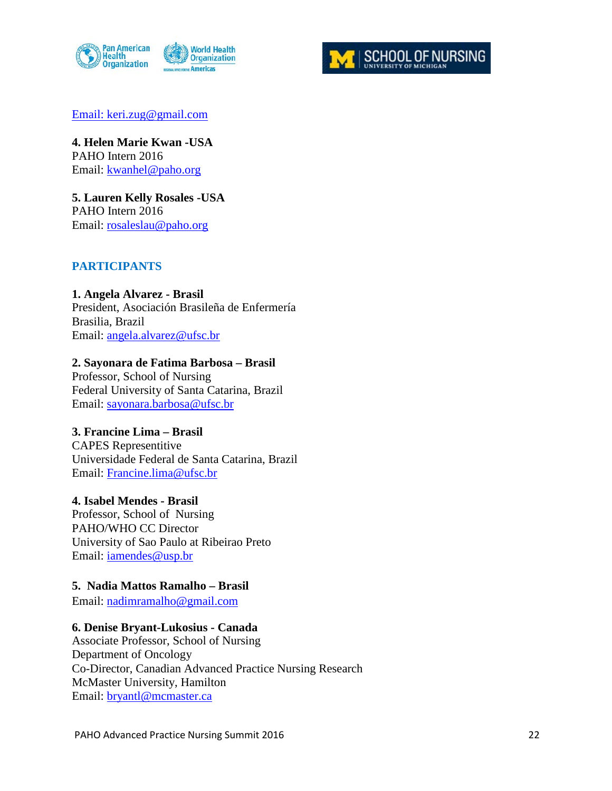



Email: [keri.zug@gmail.com](mailto:keri.zug@gmail.com)

**4. Helen Marie Kwan -USA** PAHO Intern 2016 Email: kwanhel@paho.org

**5. Lauren Kelly Rosales -USA** PAHO Intern 2016 Email: [rosaleslau@paho.org](mailto:rosaleslau@paho.org)

# **PARTICIPANTS**

**1. Angela Alvarez - Brasil** President, Asociación Brasileña de Enfermería Brasilia, Brazil Email: [angela.alvarez@ufsc.br](mailto:angela.alvarez@ufsc.br)

**2. Sayonara de Fatima Barbosa – Brasil** Professor, School of Nursing Federal University of Santa Catarina, Brazil Email: [sayonara.barbosa@ufsc.br](mailto:sayonara.barbosa@ufsc.br)

# **3. Francine Lima – Brasil**

CAPES Representitive Universidade Federal de Santa Catarina, Brazil Email: [Francine.lima@ufsc.br](mailto:Francine.lima@ufsc.br)

### **4. Isabel Mendes - Brasil**

Professor, School of Nursing PAHO/WHO CC Director University of Sao Paulo at Ribeirao Preto Email: [iamendes@usp.br](mailto:iamendes@usp.br)

### **5. Nadia Mattos Ramalho – Brasil**

Email: [nadimramalho@gmail.com](mailto:nadimramalho@gmail.com)

### **6. Denise Bryant-Lukosius - Canada**

Associate Professor, School of Nursing Department of Oncology Co-Director, Canadian Advanced Practice Nursing Research McMaster University, Hamilton Email: [bryantl@mcmaster.ca](mailto:bryantl@mcmaster.ca)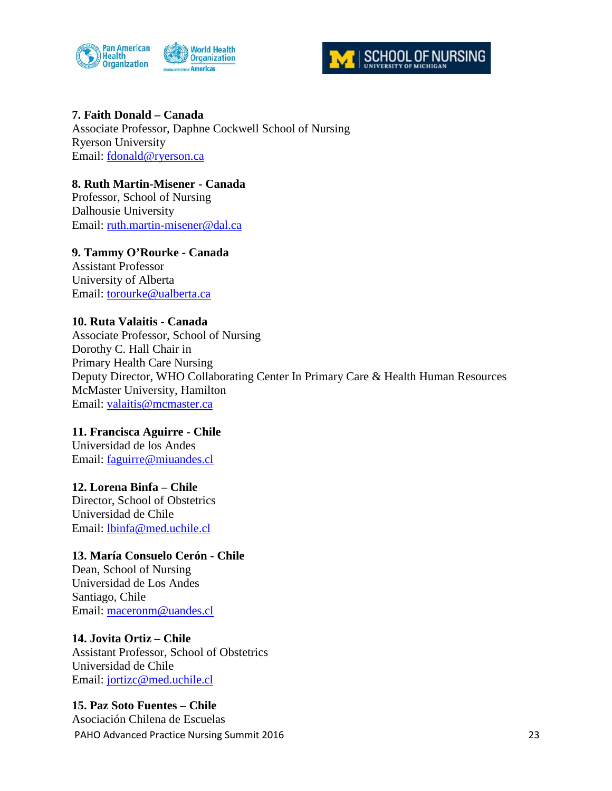



**7. Faith Donald – Canada** Associate Professor, Daphne Cockwell School of Nursing Ryerson University Email: [fdonald@ryerson.ca](mailto:fdonald@ryerson.ca)

**8. Ruth Martin-Misener - Canada** Professor, School of Nursing Dalhousie University Email: [ruth.martin-misener@dal.ca](mailto:ruth.martin-misener@dal.ca)

**9. Tammy O'Rourke - Canada** Assistant Professor University of Alberta Email: [torourke@ualberta.ca](mailto:torourke@ualberta.ca)

### **10. Ruta Valaitis - Canada**

Associate Professor, School of Nursing Dorothy C. Hall Chair in Primary Health Care Nursing Deputy Director, WHO Collaborating Center In Primary Care & Health Human Resources McMaster University, Hamilton Email: [valaitis@mcmaster.ca](mailto:valaitis@mcmaster.ca)

## **11. Francisca Aguirre - Chile**

Universidad de los Andes Email: [faguirre@miuandes.cl](mailto:faguirre@miuandes.cl)

### **12. Lorena Binfa – Chile**

Director, School of Obstetrics Universidad de Chile Email: [lbinfa@med.uchile.cl](mailto:lbinfa@med.uchile.cl)

### **13. María Consuelo Cerón - Chile**

Dean, School of Nursing Universidad de Los Andes Santiago, Chile Email: [maceronm@uandes.cl](mailto:maceronm@uandes.cl)

### **14. Jovita Ortiz – Chile**

Assistant Professor, School of Obstetrics Universidad de Chile Email: [jortizc@med.uchile.cl](mailto:jortizc@med.uchile.cl)

### **15. Paz Soto Fuentes – Chile**

PAHO Advanced Practice Nursing Summit 2016 23 23 Asociación Chilena de Escuelas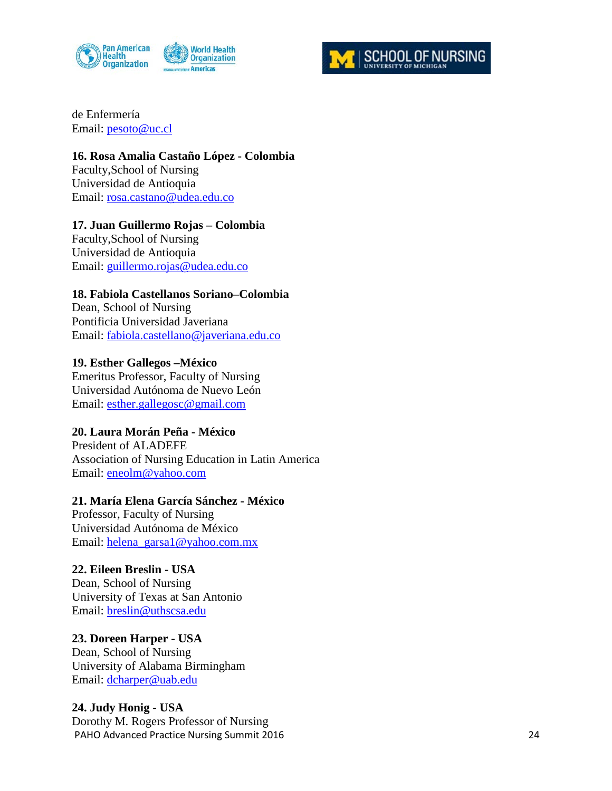



de Enfermería Email: [pesoto@uc.cl](mailto:pesoto@uc.cl)

**16. Rosa Amalia Castaño López - Colombia** Faculty ,School of Nursing Universidad de Antioquia Email: [rosa.castano@udea.edu.co](mailto:rosa.castano@udea.edu.co)

**17. Juan Guillermo Rojas – Colombia** Faculty ,School of Nursing Universidad de Antioquia Email: [guillermo.rojas@udea.edu.co](mailto:guillermo.rojas@udea.edu.co)

## **18. Fabiola Castellanos Soriano –Colombia**

Dean, School of Nursing Pontificia Universidad Javeriana Email: [fabiola.castellano@javeriana.edu.co](mailto:fabiola.castellano@javeriana.edu.co)

**19. Esther Gallegos –México** Emeritus Professor, Faculty of Nursing

Universidad Autónoma de Nuevo León Email: [esther.gallegosc@gmail.com](mailto:esther.gallegosc@gmail.com)

## **20. Laura Mor án Peña - México**

President of ALADEFE Association of Nursing Education in Latin America Email: [eneolm@yahoo.com](mailto:eneolm@yahoo.com)

## **21. María Elena García Sánchez - México**

Professor, Faculty of Nursing Universidad Autónoma de México Email: [helena\\_garsa1@yahoo.com.mx](mailto:helena_garsa1@yahoo.com.mx)

### **22. Eileen Breslin - USA**

Dean, School of Nursing University of Texas at San Antonio Email: [breslin@uthscsa.edu](mailto:breslin@uthscsa.edu)

### **23. Doreen Harper - USA**

Dean, School of Nursing University of Alabama Birmingham Email: [dcharper@uab.edu](mailto:dcharper@uab.edu)

### **24. Judy Honig - USA**

PAHO Advanced Practice Nursing Summit 2016 2018 2019 2018 24 Dorothy M. Rogers Professor of Nursing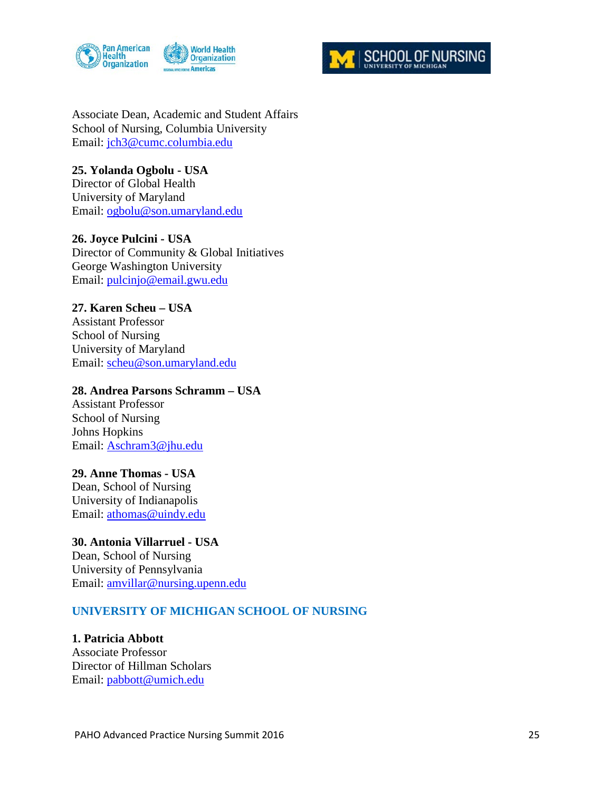



Associate Dean, Academic and Student Affairs School of Nursing, Columbia University Email: [jch3@cumc.columbia.edu](mailto:jch3@cumc.columbia.edu)

**25. Yolanda Ogbolu - USA** Director of Global Health University of Maryland Email: [ogbolu@son.umaryland.edu](mailto:ogbolu@son.umaryland.edu)

#### **26. Joyce Pulcini - USA** Director of Community & Global Initiatives

George Washington University Email: [pulcinjo@email.gwu.edu](mailto:pulcinjo@email.gwu.edu)

# **27. Karen Scheu – USA**

Assistant Professor School of Nursing University of Maryland Email: [scheu@son.umaryland.edu](mailto:scheu@son.umaryland.edu)

# **28. Andrea Parsons Schramm – USA**

Assistant Professor School of Nursing Johns Hopkins Email: [Aschram3@jhu.edu](mailto:Aschram3@jhu.edu)

## **29. Anne Thomas - USA**

Dean, School of Nursing University of Indianapolis Email: [athomas@uindy.edu](mailto:athomas@uindy.edu)

# **30. Antonia Villarruel - USA**

Dean, School of Nursing University of Pennsylvania Email: [amvillar@nursing.upenn.edu](mailto:amvillar@nursing.upenn.edu)

# **UNIVERSITY OF MICHIGAN SCHOOL OF NURSING**

**1. Patricia Abbott** Associate Professor Director of Hillman Scholars Email: [pabbott@umich.edu](mailto:pabbott@umich.edu)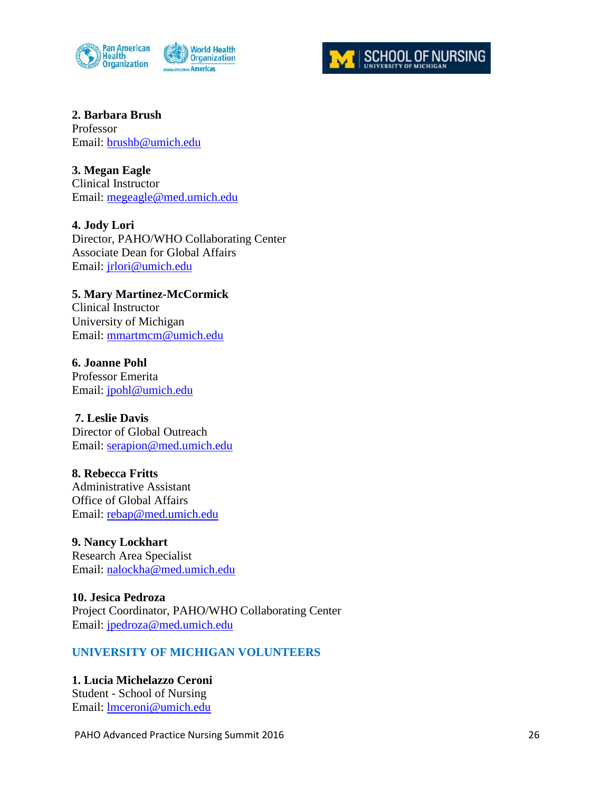



**2. Barbara Brush** Professor Email: [brushb@umich.edu](mailto:brushb@umich.edu)

**3. Megan Eagle** Clinical Instructor Email: [megeagle@med.umich.edu](mailto:megeagle@med.umich.edu)

**4. Jody Lori** Director, PAHO/WHO Collaborating Center Associate Dean for Global Affairs Email: [jrlori@umich.edu](mailto:jrlori@umich.edu)

**5. Mary Martinez-McCormick** Clinical Instructor University of Michigan Email: [mmartmcm@umich.edu](mailto:mmartmcm@umich.edu)

**6. Joanne Pohl** Professor Emerita Email: [jpohl@umich.edu](mailto:jpohl@umich.edu)

**7. Leslie Davis** Director of Global Outreach Email: [serapion@med.umich.edu](mailto:serapion@med.umich.edu)

**8. Rebecca Fritts** Administrative Assistant Office of Global Affairs Email: [rebap@med.umich.edu](mailto:rebap@med.umich.edu)

**9. Nancy Lockhart** Research Area Specialist Email: [nalockha@med.umich.edu](mailto:nalockha@med.umich.edu)

**10. Jesica Pedroza** Project Coordinator, PAHO/WHO Collaborating Center Email: [jpedroza@med.umich.edu](mailto:jpedroza@med.umich.edu)

## **UNIVERSITY OF MICHIGAN VOLUNTEERS**

**1. Lucia Michelazzo Ceroni** Student - School of Nursing Email: [lmceroni@umich.edu](mailto:lmceroni@umich.edu)

PAHO Advanced Practice Nursing Summit 2016 2016 2017 2018 2019